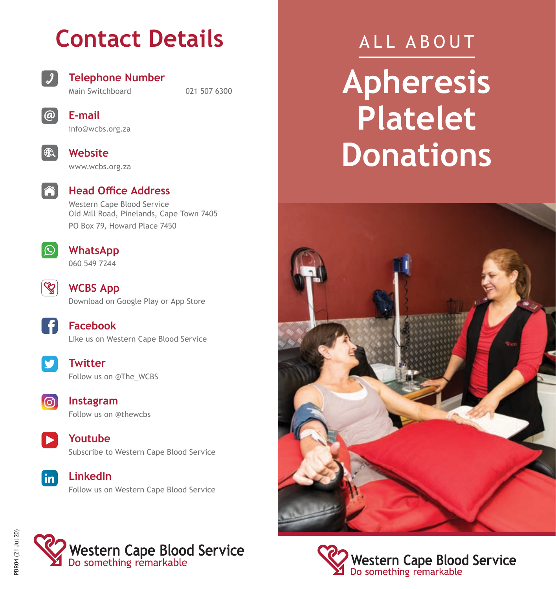## **Contact Details**



#### **Telephone Number**

Main Switchboard 021 507 6300



**E-mail** info@wcbs.org.za



www.wcbs.org.za

**Website**



### **Head Office Address**

Western Cape Blood Service Old Mill Road, Pinelands, Cape Town 7405 PO Box 79, Howard Place 7450



**WhatsApp** 060 549 7244



**WCBS App** Download on Google Play or App Store





**Twitter** Follow us on @The\_WCBS



**Instagram** Follow us on @thewcbs







# ALL ABOUT **Apheresis Platelet Donations**